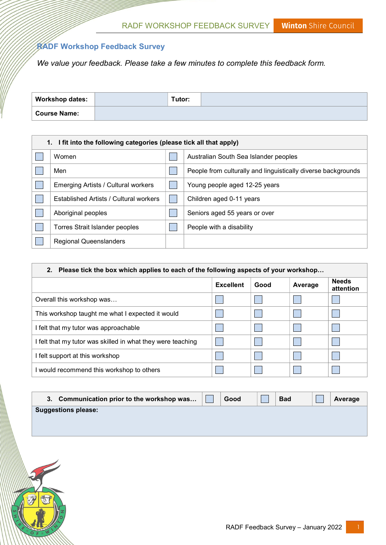Winton Shire Council RADF WORKSHOP FEEDBACK SURVEY

## RADF Workshop Feedback Survey

We value your feedback. Please take a few minutes to complete this feedback form.

| <b>Workshop dates:</b> | Tutor: |  |
|------------------------|--------|--|
| <b>Course Name:</b>    |        |  |

| 1. I fit into the following categories (please tick all that apply) |  |                                                               |  |  |  |  |  |
|---------------------------------------------------------------------|--|---------------------------------------------------------------|--|--|--|--|--|
| Women                                                               |  | Australian South Sea Islander peoples                         |  |  |  |  |  |
| Men                                                                 |  | People from culturally and linguistically diverse backgrounds |  |  |  |  |  |
| Emerging Artists / Cultural workers                                 |  | Young people aged 12-25 years                                 |  |  |  |  |  |
| Established Artists / Cultural workers                              |  | Children aged 0-11 years                                      |  |  |  |  |  |
| Aboriginal peoples                                                  |  | Seniors aged 55 years or over                                 |  |  |  |  |  |
| Torres Strait Islander peoples                                      |  | People with a disability                                      |  |  |  |  |  |
| <b>Regional Queenslanders</b>                                       |  |                                                               |  |  |  |  |  |

| 2. Please tick the box which applies to each of the following aspects of your workshop |                  |      |         |                           |  |  |
|----------------------------------------------------------------------------------------|------------------|------|---------|---------------------------|--|--|
|                                                                                        | <b>Excellent</b> | Good | Average | <b>Needs</b><br>attention |  |  |
| Overall this workshop was                                                              |                  |      |         |                           |  |  |
| This workshop taught me what I expected it would                                       |                  |      |         |                           |  |  |
| I felt that my tutor was approachable                                                  |                  |      |         |                           |  |  |
| I felt that my tutor was skilled in what they were teaching                            |                  |      |         |                           |  |  |
| I felt support at this workshop                                                        |                  |      |         |                           |  |  |
| I would recommend this workshop to others                                              |                  |      |         |                           |  |  |

|                            | 3. Communication prior to the workshop was | Good | <b>Bad</b> | Average |
|----------------------------|--------------------------------------------|------|------------|---------|
| <b>Suggestions please:</b> |                                            |      |            |         |
|                            |                                            |      |            |         |
|                            |                                            |      |            |         |